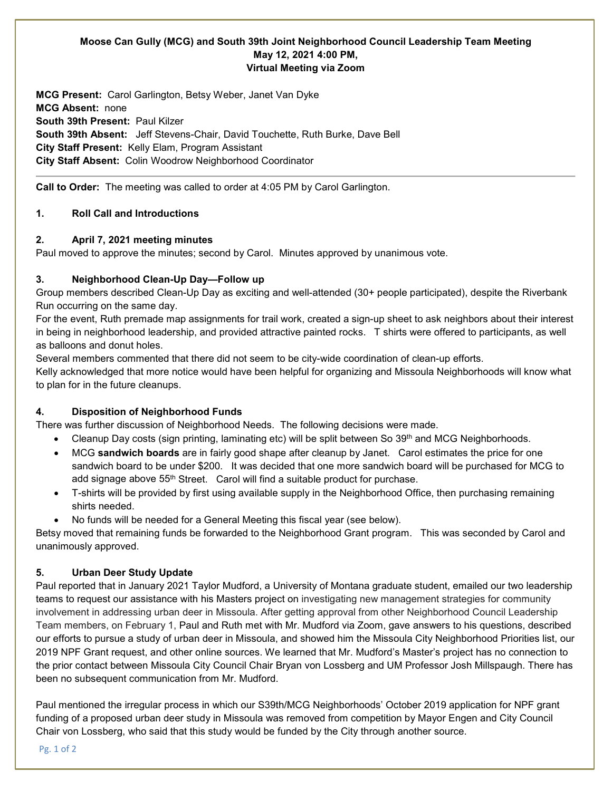# **Moose Can Gully (MCG) and South 39th Joint Neighborhood Council Leadership Team Meeting May 12, 2021 4:00 PM, Virtual Meeting via Zoom**

**MCG Present:** Carol Garlington, Betsy Weber, Janet Van Dyke **MCG Absent:** none **South 39th Present:** Paul Kilzer **South 39th Absent:** Jeff Stevens-Chair, David Touchette, Ruth Burke, Dave Bell **City Staff Present:** Kelly Elam, Program Assistant **City Staff Absent:** Colin Woodrow Neighborhood Coordinator

**Call to Order:** The meeting was called to order at 4:05 PM by Carol Garlington.

# **1. Roll Call and Introductions**

# **2. April 7, 2021 meeting minutes**

Paul moved to approve the minutes; second by Carol. Minutes approved by unanimous vote.

# **3. Neighborhood Clean-Up Day—Follow up**

Group members described Clean-Up Day as exciting and well-attended (30+ people participated), despite the Riverbank Run occurring on the same day.

For the event, Ruth premade map assignments for trail work, created a sign-up sheet to ask neighbors about their interest in being in neighborhood leadership, and provided attractive painted rocks. T shirts were offered to participants, as well as balloons and donut holes.

Several members commented that there did not seem to be city-wide coordination of clean-up efforts.

Kelly acknowledged that more notice would have been helpful for organizing and Missoula Neighborhoods will know what to plan for in the future cleanups.

# **4. Disposition of Neighborhood Funds**

There was further discussion of Neighborhood Needs. The following decisions were made.

- Cleanup Day costs (sign printing, laminating etc) will be split between So 39<sup>th</sup> and MCG Neighborhoods.
- MCG **sandwich boards** are in fairly good shape after cleanup by Janet. Carol estimates the price for one sandwich board to be under \$200. It was decided that one more sandwich board will be purchased for MCG to add signage above 55<sup>th</sup> Street. Carol will find a suitable product for purchase.
- T-shirts will be provided by first using available supply in the Neighborhood Office, then purchasing remaining shirts needed.
- No funds will be needed for a General Meeting this fiscal year (see below).

Betsy moved that remaining funds be forwarded to the Neighborhood Grant program. This was seconded by Carol and unanimously approved.

# **5. Urban Deer Study Update**

Paul reported that in January 2021 Taylor Mudford, a University of Montana graduate student, emailed our two leadership teams to request our assistance with his Masters project on investigating new management strategies for community involvement in addressing urban deer in Missoula. After getting approval from other Neighborhood Council Leadership Team members, on February 1, Paul and Ruth met with Mr. Mudford via Zoom, gave answers to his questions, described our efforts to pursue a study of urban deer in Missoula, and showed him the Missoula City Neighborhood Priorities list, our 2019 NPF Grant request, and other online sources. We learned that Mr. Mudford's Master's project has no connection to the prior contact between Missoula City Council Chair Bryan von Lossberg and UM Professor Josh Millspaugh. There has been no subsequent communication from Mr. Mudford.

Paul mentioned the irregular process in which our S39th/MCG Neighborhoods' October 2019 application for NPF grant funding of a proposed urban deer study in Missoula was removed from competition by Mayor Engen and City Council Chair von Lossberg, who said that this study would be funded by the City through another source.